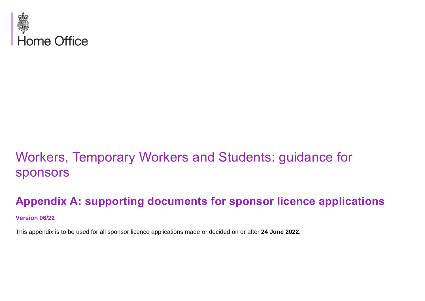

# Workers, Temporary Workers and Students: guidance for sponsors

# **Appendix A: supporting documents for sponsor licence applications**

#### **Version 06/22**

This appendix is to be used for all sponsor licence applications made or decided on or after **24 June 2022**.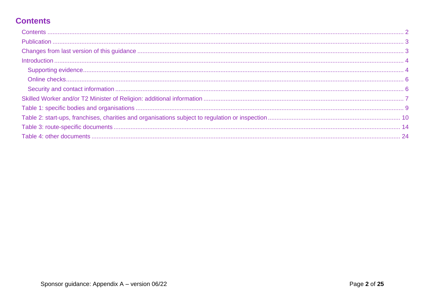# <span id="page-1-0"></span>**Contents**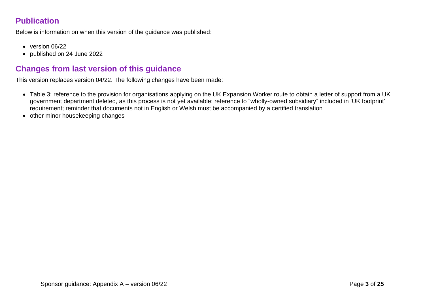## <span id="page-2-0"></span>**Publication**

Below is information on when this version of the guidance was published:

- version 06/22
- published on 24 June 2022

### <span id="page-2-1"></span>**Changes from last version of this guidance**

This version replaces version 04/22. The following changes have been made:

- Table 3: reference to the provision for organisations applying on the UK Expansion Worker route to obtain a letter of support from a UK government department deleted, as this process is not yet available; reference to "wholly-owned subsidiary" included in 'UK footprint' requirement; reminder that documents not in English or Welsh must be accompanied by a certified translation
- other minor housekeeping changes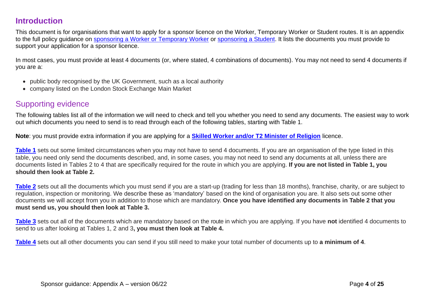### <span id="page-3-0"></span>**Introduction**

This document is for organisations that want to apply for a sponsor licence on the Worker, Temporary Worker or Student routes. It is an appendix to the full policy guidance on [sponsoring a Worker or Temporary Worker](https://www.gov.uk/government/collections/sponsorship-information-for-employers-and-educators#workers-and-temporary-workers:-guidance-for-sponsors) or [sponsoring a Student.](https://www.gov.uk/government/publications/sponsor-a-tier-4-student-guidance-for-educators) It lists the documents you must provide to support your application for a sponsor licence.

In most cases, you must provide at least 4 documents (or, where stated, 4 combinations of documents). You may not need to send 4 documents if you are a:

- public body recognised by the UK Government, such as a local authority
- company listed on the London Stock Exchange Main Market

### <span id="page-3-1"></span>Supporting evidence

The following tables list all of the information we will need to check and tell you whether you need to send any documents. The easiest way to work out which documents you need to send is to read through each of the following tables, starting with Table 1.

**Note**: you must provide extra information if you are applying for a **[Skilled Worker and/or T2 Minister of Religion](#page-5-2)** licence.

**[Table](#page-8-0) 1** sets out some limited circumstances when you may not have to send 4 documents. If you are an organisation of the type listed in this table, you need only send the documents described, and, in some cases, you may not need to send any documents at all, unless there are documents listed in Tables 2 to 4 that are specifically required for the route in which you are applying. **If you are not listed in Table 1, you should then look at Table 2.**

**[Table](#page-9-0) 2** sets out all the documents which you must send if you are a start-up (trading for less than 18 months), franchise, charity, or are subject to regulation, inspection or monitoring. We describe these as 'mandatory' based on the kind of organisation you are. It also sets out some other documents we will accept from you in addition to those which are mandatory. **Once you have identified any documents in Table 2 that you must send us, you should then look at Table 3.**

**[Table](#page-13-0) 3** sets out all of the documents which are mandatory based on the route in which you are applying. If you have **not** identified 4 documents to send to us after looking at Tables 1, 2 and 3**, you must then look at Table 4.**

**[Table](#page-23-0) 4** sets out all other documents you can send if you still need to make your total number of documents up to **a minimum of 4**.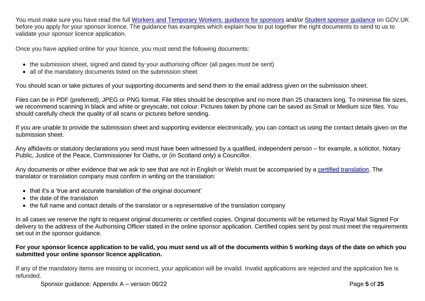You must make sure you have read the full [Workers and Temporary Workers: guidance for sponsors](https://www.gov.uk/government/collections/sponsorship-information-for-employers-and-educators#workers-and-temporary-workers:-guidance-for-sponsors) and/or [Student sponsor guidance](https://www.gov.uk/government/publications/student-sponsor-guidance) on GOV.UK before you apply for your sponsor licence. The guidance has examples which explain how to put together the right documents to send to us to validate your sponsor licence application.

Once you have applied online for your licence, you must send the following documents:

- the submission sheet, signed and dated by your authorising officer (all pages must be sent)
- all of the mandatory documents listed on the submission sheet

You should scan or take pictures of your supporting documents and send them to the email address given on the submission sheet.

Files can be in PDF (preferred), JPEG or PNG format. File titles should be descriptive and no more than 25 characters long. To minimise file sizes, we recommend scanning in black and white or greyscale, not colour. Pictures taken by phone can be saved as Small or Medium size files. You should carefully check the quality of all scans or pictures before sending.

If you are unable to provide the submission sheet and supporting evidence electronically, you can contact us using the contact details given on the submission sheet.

Any affidavits or statutory declarations you send must have been witnessed by a qualified, independent person – for example, a solicitor, Notary Public, Justice of the Peace, Commissioner for Oaths, or (in Scotland only) a Councillor.

Any documents or other evidence that we ask to see that are not in English or Welsh must be accompanied by a [certified translation.](https://www.gov.uk/certifying-a-document) The translator or translation company must confirm in writing on the translation:

- that it's a 'true and accurate translation of the original document'
- the date of the translation
- the full name and contact details of the translator or a representative of the translation company

In all cases we reserve the right to request original documents or certified copies. Original documents will be returned by Royal Mail Signed For delivery to the address of the Authorising Officer stated in the online sponsor application. Certified copies sent by post must meet the requirements set out in the sponsor guidance.

#### **For your sponsor licence application to be valid, you must send us all of the documents within 5 working days of the date on which you submitted your online sponsor licence application.**

If any of the mandatory items are missing or incorrect, your application will be invalid. Invalid applications are rejected and the application fee is refunded.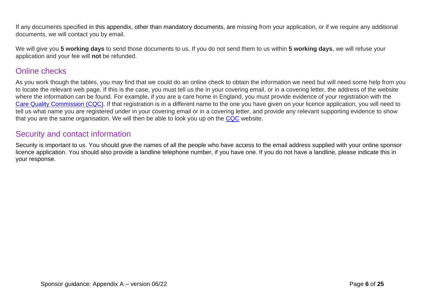If any documents specified in this appendix, other than mandatory documents, are missing from your application, or if we require any additional documents, we will contact you by email.

We will give you **5 working days** to send those documents to us. If you do not send them to us within **5 working days**, we will refuse your application and your fee will **not** be refunded.

### <span id="page-5-0"></span>Online checks

As you work though the tables, you may find that we could do an online check to obtain the information we need but will need some help from you to locate the relevant web page. If this is the case, you must tell us the in your covering email, or in a covering letter, the address of the website where the information can be found. For example, if you are a care home in England, you must provide evidence of your registration with the [Care Quality Commission](https://www.cqc.org.uk/) (CQC). If that registration is in a different name to the one you have given on your licence application, you will need to tell us what name you are registered under in your covering email or in a covering letter, and provide any relevant supporting evidence to show that you are the same organisation. We will then be able to look you up on the [CQC](https://www.cqc.org.uk/) website.

#### <span id="page-5-1"></span>Security and contact information

<span id="page-5-2"></span>Security is important to us. You should give the names of all the people who have access to the email address supplied with your online sponsor licence application. You should also provide a landline telephone number, if you have one. If you do not have a landline, please indicate this in your response.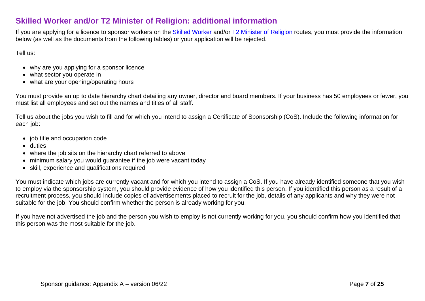### <span id="page-6-0"></span>**Skilled Worker and/or T2 Minister of Religion: additional information**

If you are applying for a licence to sponsor workers on the [Skilled Worker](https://www.gov.uk/government/publications/workers-and-temporary-workers-sponsor-a-skilled-worker) and/or T2 [Minister of](https://www.gov.uk/government/publications/workers-and-temporary-workers-guidance-for-sponsors-sponsor-a-minister-of-religion-or-religious-worker) Religion routes, you must provide the information below (as well as the documents from the following tables) or your application will be rejected.

Tell us:

- why are you applying for a sponsor licence
- what sector you operate in
- what are your opening/operating hours

You must provide an up to date hierarchy chart detailing any owner, director and board members. If your business has 50 employees or fewer, you must list all employees and set out the names and titles of all staff.

Tell us about the jobs you wish to fill and for which you intend to assign a Certificate of Sponsorship (CoS). Include the following information for each job:

- job title and occupation code
- duties
- where the job sits on the hierarchy chart referred to above
- minimum salary you would guarantee if the job were vacant today
- skill, experience and qualifications required

You must indicate which jobs are currently vacant and for which you intend to assign a CoS. If you have already identified someone that you wish to employ via the sponsorship system, you should provide evidence of how you identified this person. If you identified this person as a result of a recruitment process, you should include copies of advertisements placed to recruit for the job, details of any applicants and why they were not suitable for the job. You should confirm whether the person is already working for you.

If you have not advertised the job and the person you wish to employ is not currently working for you, you should confirm how you identified that this person was the most suitable for the job.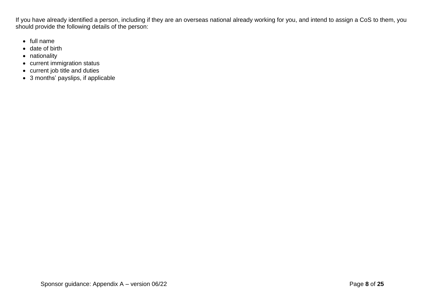If you have already identified a person, including if they are an overseas national already working for you, and intend to assign a CoS to them, you should provide the following details of the person:

- full name
- date of birth
- nationality
- current immigration status
- current job title and duties
- 3 months' payslips, if applicable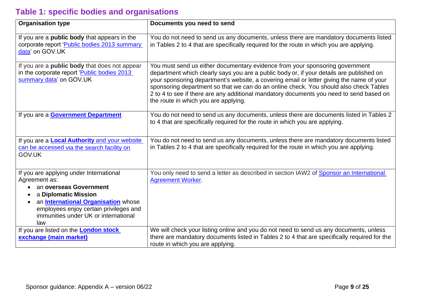# <span id="page-8-0"></span>**Table 1: specific bodies and organisations**

| <b>Organisation type</b>                                                                                                                                                                                                                          | Documents you need to send                                                                                                                                                                                                                                                                                                                                                                                                                                                                       |
|---------------------------------------------------------------------------------------------------------------------------------------------------------------------------------------------------------------------------------------------------|--------------------------------------------------------------------------------------------------------------------------------------------------------------------------------------------------------------------------------------------------------------------------------------------------------------------------------------------------------------------------------------------------------------------------------------------------------------------------------------------------|
| If you are a <b>public body</b> that appears in the<br>corporate report 'Public bodies 2013 summary<br>data' on GOV.UK                                                                                                                            | You do not need to send us any documents, unless there are mandatory documents listed<br>in Tables 2 to 4 that are specifically required for the route in which you are applying.                                                                                                                                                                                                                                                                                                                |
| If you are a public body that does not appear<br>in the corporate report 'Public bodies 2013<br>summary data' on GOV.UK                                                                                                                           | You must send us either documentary evidence from your sponsoring government<br>department which clearly says you are a public body or, if your details are published on<br>your sponsoring department's website, a covering email or letter giving the name of your<br>sponsoring department so that we can do an online check. You should also check Tables<br>2 to 4 to see if there are any additional mandatory documents you need to send based on<br>the route in which you are applying. |
| If you are a <b>Government Department</b>                                                                                                                                                                                                         | You do not need to send us any documents, unless there are documents listed in Tables 2<br>to 4 that are specifically required for the route in which you are applying.                                                                                                                                                                                                                                                                                                                          |
| If you are a <b>Local Authority</b> and your website<br>can be accessed via the search facility on<br>GOV.UK                                                                                                                                      | You do not need to send us any documents, unless there are mandatory documents listed<br>in Tables 2 to 4 that are specifically required for the route in which you are applying.                                                                                                                                                                                                                                                                                                                |
| If you are applying under International<br>Agreement as:<br>an overseas Government<br>a Diplomatic Mission<br>an <b>International Organisation</b> whose<br>employees enjoy certain privileges and<br>immunities under UK or international<br>law | You only need to send a letter as described in section IAW2 of Sponsor an International<br><b>Agreement Worker.</b>                                                                                                                                                                                                                                                                                                                                                                              |
| If you are listed on the <b>London stock</b><br>exchange (main market)                                                                                                                                                                            | We will check your listing online and you do not need to send us any documents, unless<br>there are mandatory documents listed in Tables 2 to 4 that are specifically required for the<br>route in which you are applying.                                                                                                                                                                                                                                                                       |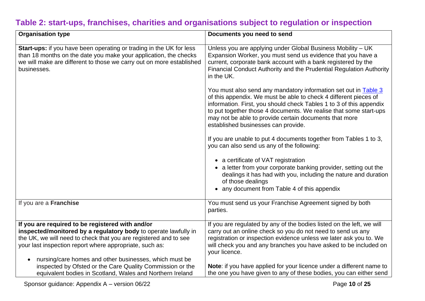# <span id="page-9-0"></span>**Table 2: start-ups, franchises, charities and organisations subject to regulation or inspection**

| <b>Organisation type</b>                                                                                                                                                                                                                                                                                     | Documents you need to send                                                                                                                                                                                                                                                                                                                                                              |
|--------------------------------------------------------------------------------------------------------------------------------------------------------------------------------------------------------------------------------------------------------------------------------------------------------------|-----------------------------------------------------------------------------------------------------------------------------------------------------------------------------------------------------------------------------------------------------------------------------------------------------------------------------------------------------------------------------------------|
| <b>Start-ups:</b> if you have been operating or trading in the UK for less<br>than 18 months on the date you make your application, the checks<br>we will make are different to those we carry out on more established<br>businesses.                                                                        | Unless you are applying under Global Business Mobility - UK<br>Expansion Worker, you must send us evidence that you have a<br>current, corporate bank account with a bank registered by the<br>Financial Conduct Authority and the Prudential Regulation Authority<br>in the UK.                                                                                                        |
|                                                                                                                                                                                                                                                                                                              | You must also send any mandatory information set out in <b>Table 3</b><br>of this appendix. We must be able to check 4 different pieces of<br>information. First, you should check Tables 1 to 3 of this appendix<br>to put together those 4 documents. We realise that some start-ups<br>may not be able to provide certain documents that more<br>established businesses can provide. |
|                                                                                                                                                                                                                                                                                                              | If you are unable to put 4 documents together from Tables 1 to 3,<br>you can also send us any of the following:                                                                                                                                                                                                                                                                         |
|                                                                                                                                                                                                                                                                                                              | • a certificate of VAT registration<br>a letter from your corporate banking provider, setting out the<br>dealings it has had with you, including the nature and duration<br>of those dealings<br>• any document from Table 4 of this appendix                                                                                                                                           |
| If you are a Franchise                                                                                                                                                                                                                                                                                       | You must send us your Franchise Agreement signed by both<br>parties.                                                                                                                                                                                                                                                                                                                    |
| If you are required to be registered with and/or<br>inspected/monitored by a regulatory body to operate lawfully in<br>the UK, we will need to check that you are registered and to see<br>your last inspection report where appropriate, such as:<br>nursing/care homes and other businesses, which must be | If you are regulated by any of the bodies listed on the left, we will<br>carry out an online check so you do not need to send us any<br>registration or inspection evidence unless we later ask you to. We<br>will check you and any branches you have asked to be included on<br>your licence.<br>Note: if you have applied for your licence under a different name to                 |
| inspected by Ofsted or the Care Quality Commission or the<br>equivalent bodies in Scotland, Wales and Northern Ireland                                                                                                                                                                                       | the one you have given to any of these bodies, you can either send                                                                                                                                                                                                                                                                                                                      |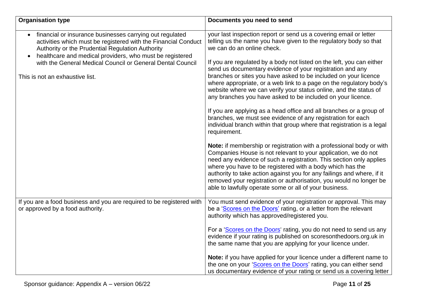| <b>Organisation type</b>                                                                                                                                                                                                                   | Documents you need to send                                                                                                                                                                                                                                                                                                                                                                                                                                                           |
|--------------------------------------------------------------------------------------------------------------------------------------------------------------------------------------------------------------------------------------------|--------------------------------------------------------------------------------------------------------------------------------------------------------------------------------------------------------------------------------------------------------------------------------------------------------------------------------------------------------------------------------------------------------------------------------------------------------------------------------------|
| financial or insurance businesses carrying out regulated<br>activities which must be registered with the Financial Conduct<br>Authority or the Prudential Regulation Authority<br>healthcare and medical providers, who must be registered | your last inspection report or send us a covering email or letter<br>telling us the name you have given to the regulatory body so that<br>we can do an online check.                                                                                                                                                                                                                                                                                                                 |
| with the General Medical Council or General Dental Council<br>This is not an exhaustive list.                                                                                                                                              | If you are regulated by a body not listed on the left, you can either<br>send us documentary evidence of your registration and any<br>branches or sites you have asked to be included on your licence<br>where appropriate, or a web link to a page on the regulatory body's<br>website where we can verify your status online, and the status of<br>any branches you have asked to be included on your licence.                                                                     |
|                                                                                                                                                                                                                                            | If you are applying as a head office and all branches or a group of<br>branches, we must see evidence of any registration for each<br>individual branch within that group where that registration is a legal<br>requirement.                                                                                                                                                                                                                                                         |
|                                                                                                                                                                                                                                            | Note: if membership or registration with a professional body or with<br>Companies House is not relevant to your application, we do not<br>need any evidence of such a registration. This section only applies<br>where you have to be registered with a body which has the<br>authority to take action against you for any failings and where, if it<br>removed your registration or authorisation, you would no longer be<br>able to lawfully operate some or all of your business. |
| If you are a food business and you are required to be registered with<br>or approved by a food authority.                                                                                                                                  | You must send evidence of your registration or approval. This may<br>be a 'Scores on the Doors' rating, or a letter from the relevant<br>authority which has approved/registered you.                                                                                                                                                                                                                                                                                                |
|                                                                                                                                                                                                                                            | For a 'Scores on the Doors' rating, you do not need to send us any<br>evidence if your rating is published on scoresonthedoors.org.uk in<br>the same name that you are applying for your licence under.                                                                                                                                                                                                                                                                              |
|                                                                                                                                                                                                                                            | Note: if you have applied for your licence under a different name to<br>the one on your 'Scores on the Doors' rating, you can either send<br>us documentary evidence of your rating or send us a covering letter                                                                                                                                                                                                                                                                     |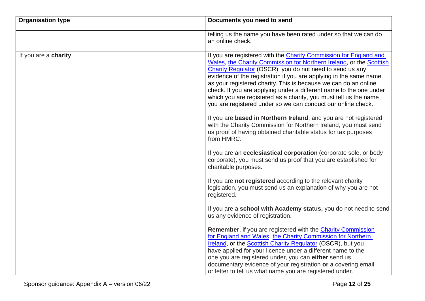| <b>Organisation type</b> | Documents you need to send                                                                                                                                                                                                                                                                                                                                                                                                                                                                                                                             |
|--------------------------|--------------------------------------------------------------------------------------------------------------------------------------------------------------------------------------------------------------------------------------------------------------------------------------------------------------------------------------------------------------------------------------------------------------------------------------------------------------------------------------------------------------------------------------------------------|
|                          | telling us the name you have been rated under so that we can do<br>an online check.                                                                                                                                                                                                                                                                                                                                                                                                                                                                    |
| If you are a charity.    | If you are registered with the Charity Commission for England and<br>Wales, the Charity Commission for Northern Ireland, or the Scottish<br>Charity Regulator (OSCR), you do not need to send us any<br>evidence of the registration if you are applying in the same name<br>as your registered charity. This is because we can do an online<br>check. If you are applying under a different name to the one under<br>which you are registered as a charity, you must tell us the name<br>you are registered under so we can conduct our online check. |
|                          | If you are based in Northern Ireland, and you are not registered<br>with the Charity Commission for Northern Ireland, you must send<br>us proof of having obtained charitable status for tax purposes<br>from HMRC.                                                                                                                                                                                                                                                                                                                                    |
|                          | If you are an <b>ecclesiastical corporation</b> (corporate sole, or body<br>corporate), you must send us proof that you are established for<br>charitable purposes.                                                                                                                                                                                                                                                                                                                                                                                    |
|                          | If you are not registered according to the relevant charity<br>legislation, you must send us an explanation of why you are not<br>registered.                                                                                                                                                                                                                                                                                                                                                                                                          |
|                          | If you are a school with Academy status, you do not need to send<br>us any evidence of registration.                                                                                                                                                                                                                                                                                                                                                                                                                                                   |
|                          | Remember, if you are registered with the Charity Commission<br>for England and Wales, the Charity Commission for Northern<br>Ireland, or the Scottish Charity Regulator (OSCR), but you<br>have applied for your licence under a different name to the<br>one you are registered under, you can either send us<br>documentary evidence of your registration or a covering email<br>or letter to tell us what name you are registered under.                                                                                                            |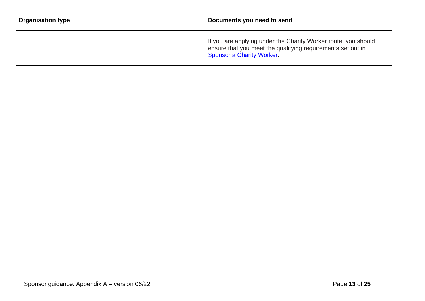| <b>Organisation type</b> | Documents you need to send                                                                                                                                        |
|--------------------------|-------------------------------------------------------------------------------------------------------------------------------------------------------------------|
|                          | If you are applying under the Charity Worker route, you should<br>ensure that you meet the qualifying requirements set out in<br><b>Sponsor a Charity Worker.</b> |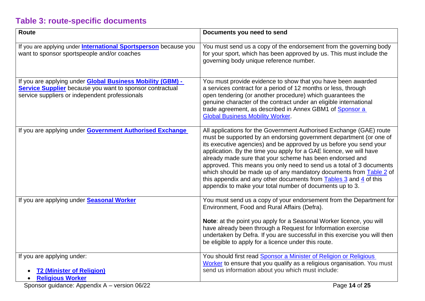# <span id="page-13-0"></span>**Table 3: route-specific documents**

| <b>Route</b>                                                                                                                                                                           | Documents you need to send                                                                                                                                                                                                                                                                                                                                                                                                                                                                                                                                                                                                                                                      |
|----------------------------------------------------------------------------------------------------------------------------------------------------------------------------------------|---------------------------------------------------------------------------------------------------------------------------------------------------------------------------------------------------------------------------------------------------------------------------------------------------------------------------------------------------------------------------------------------------------------------------------------------------------------------------------------------------------------------------------------------------------------------------------------------------------------------------------------------------------------------------------|
| If you are applying under <b>International Sportsperson</b> because you<br>want to sponsor sportspeople and/or coaches                                                                 | You must send us a copy of the endorsement from the governing body<br>for your sport, which has been approved by us. This must include the<br>governing body unique reference number.                                                                                                                                                                                                                                                                                                                                                                                                                                                                                           |
| If you are applying under <b>Global Business Mobility (GBM) -</b><br><b>Service Supplier</b> because you want to sponsor contractual<br>service suppliers or independent professionals | You must provide evidence to show that you have been awarded<br>a services contract for a period of 12 months or less, through<br>open tendering (or another procedure) which guarantees the<br>genuine character of the contract under an eligible international<br>trade agreement, as described in Annex GBM1 of Sponsor a<br><b>Global Business Mobility Worker.</b>                                                                                                                                                                                                                                                                                                        |
| If you are applying under <b>Government Authorised Exchange</b>                                                                                                                        | All applications for the Government Authorised Exchange (GAE) route<br>must be supported by an endorsing government department (or one of<br>its executive agencies) and be approved by us before you send your<br>application. By the time you apply for a GAE licence, we will have<br>already made sure that your scheme has been endorsed and<br>approved. This means you only need to send us a total of 3 documents<br>which should be made up of any mandatory documents from Table 2 of<br>this appendix and any other documents from $\frac{\text{Tables } 3}{\text{Tables } 3}$ and $\frac{4}{3}$ of this<br>appendix to make your total number of documents up to 3. |
| If you are applying under Seasonal Worker                                                                                                                                              | You must send us a copy of your endorsement from the Department for<br>Environment, Food and Rural Affairs (Defra).<br>Note: at the point you apply for a Seasonal Worker licence, you will<br>have already been through a Request for Information exercise<br>undertaken by Defra. If you are successful in this exercise you will then<br>be eligible to apply for a licence under this route.                                                                                                                                                                                                                                                                                |
| If you are applying under:<br><b>T2 (Minister of Religion)</b><br><b>Religious Worker</b>                                                                                              | You should first read Sponsor a Minister of Religion or Religious<br>Worker to ensure that you qualify as a religious organisation. You must<br>send us information about you which must include:                                                                                                                                                                                                                                                                                                                                                                                                                                                                               |
| $\sim$ -12 $\sim$ A<br>$\sim$ 00 00<br>$\sim$                                                                                                                                          | $D = 11.07$                                                                                                                                                                                                                                                                                                                                                                                                                                                                                                                                                                                                                                                                     |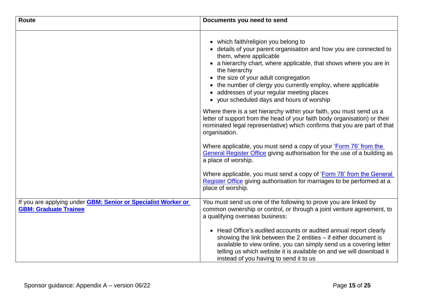| Route                                                                                         | Documents you need to send                                                                                                                                                                                                                                                                                                                                                                                                        |
|-----------------------------------------------------------------------------------------------|-----------------------------------------------------------------------------------------------------------------------------------------------------------------------------------------------------------------------------------------------------------------------------------------------------------------------------------------------------------------------------------------------------------------------------------|
|                                                                                               | • which faith/religion you belong to<br>• details of your parent organisation and how you are connected to<br>them, where applicable<br>• a hierarchy chart, where applicable, that shows where you are in<br>the hierarchy<br>• the size of your adult congregation<br>• the number of clergy you currently employ, where applicable<br>• addresses of your regular meeting places<br>• your scheduled days and hours of worship |
|                                                                                               | Where there is a set hierarchy within your faith, you must send us a<br>letter of support from the head of your faith body organisation) or their<br>nominated legal representative) which confirms that you are part of that<br>organisation.                                                                                                                                                                                    |
|                                                                                               | Where applicable, you must send a copy of your 'Form 76' from the<br>General Register Office giving authorisation for the use of a building as<br>a place of worship.                                                                                                                                                                                                                                                             |
|                                                                                               | Where applicable, you must send a copy of 'Form 78' from the General<br>Register Office giving authorisation for marriages to be performed at a<br>place of worship.                                                                                                                                                                                                                                                              |
| If you are applying under GBM: Senior or Specialist Worker or<br><b>GBM: Graduate Trainee</b> | You must send us one of the following to prove you are linked by<br>common ownership or control, or through a joint venture agreement, to<br>a qualifying overseas business:                                                                                                                                                                                                                                                      |
|                                                                                               | • Head Office's audited accounts or audited annual report clearly<br>showing the link between the $2$ entities $-$ if either document is<br>available to view online, you can simply send us a covering letter<br>telling us which website it is available on and we will download it<br>instead of you having to send it to us                                                                                                   |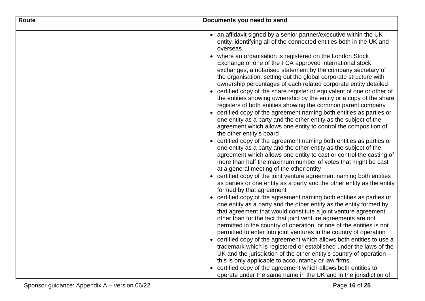| <b>Route</b> | Documents you need to send                                                                                                                                                                                                                                                                                                                                                                                                                                                                                                                                                                                                                                                                                                                                                                                                                                                                                                                                                                                                                                                                                                                                                                                                                                                                                                                                                                                                                                                                                                                                                                                                                                                                                                                                                                                                                                                                                                                                                                                                                                                                                                                                                                                                                       |
|--------------|--------------------------------------------------------------------------------------------------------------------------------------------------------------------------------------------------------------------------------------------------------------------------------------------------------------------------------------------------------------------------------------------------------------------------------------------------------------------------------------------------------------------------------------------------------------------------------------------------------------------------------------------------------------------------------------------------------------------------------------------------------------------------------------------------------------------------------------------------------------------------------------------------------------------------------------------------------------------------------------------------------------------------------------------------------------------------------------------------------------------------------------------------------------------------------------------------------------------------------------------------------------------------------------------------------------------------------------------------------------------------------------------------------------------------------------------------------------------------------------------------------------------------------------------------------------------------------------------------------------------------------------------------------------------------------------------------------------------------------------------------------------------------------------------------------------------------------------------------------------------------------------------------------------------------------------------------------------------------------------------------------------------------------------------------------------------------------------------------------------------------------------------------------------------------------------------------------------------------------------------------|
|              | • an affidavit signed by a senior partner/executive within the UK<br>entity, identifying all of the connected entities both in the UK and<br>overseas<br>• where an organisation is registered on the London Stock<br>Exchange or one of the FCA approved international stock<br>exchanges, a notarised statement by the company secretary of<br>the organisation, setting out the global corporate structure with<br>ownership percentages of each related corporate entity detailed<br>• certified copy of the share register or equivalent of one or other of<br>the entities showing ownership by the entity or a copy of the share<br>registers of both entities showing the common parent company<br>• certified copy of the agreement naming both entities as parties or<br>one entity as a party and the other entity as the subject of the<br>agreement which allows one entity to control the composition of<br>the other entity's board<br>• certified copy of the agreement naming both entities as parties or<br>one entity as a party and the other entity as the subject of the<br>agreement which allows one entity to cast or control the casting of<br>more than half the maximum number of votes that might be cast<br>at a general meeting of the other entity<br>• certified copy of the joint venture agreement naming both entities<br>as parties or one entity as a party and the other entity as the entity<br>formed by that agreement<br>• certified copy of the agreement naming both entities as parties or<br>one entity as a party and the other entity as the entity formed by<br>that agreement that would constitute a joint venture agreement<br>other than for the fact that joint venture agreements are not<br>permitted in the country of operation; or one of the entities is not<br>permitted to enter into joint ventures in the country of operation<br>• certified copy of the agreement which allows both entities to use a<br>trademark which is registered or established under the laws of the<br>UK and the jurisdiction of the other entity's country of operation -<br>this is only applicable to accountancy or law firms<br>• certified copy of the agreement which allows both entities to |
|              | operate under the same name in the UK and in the jurisdiction of                                                                                                                                                                                                                                                                                                                                                                                                                                                                                                                                                                                                                                                                                                                                                                                                                                                                                                                                                                                                                                                                                                                                                                                                                                                                                                                                                                                                                                                                                                                                                                                                                                                                                                                                                                                                                                                                                                                                                                                                                                                                                                                                                                                 |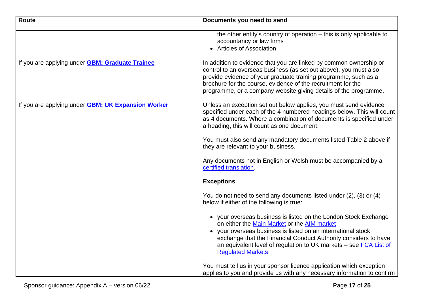| Route                                                     | Documents you need to send                                                                                                                                                                                                                                                                                                                         |
|-----------------------------------------------------------|----------------------------------------------------------------------------------------------------------------------------------------------------------------------------------------------------------------------------------------------------------------------------------------------------------------------------------------------------|
|                                                           | the other entity's country of operation - this is only applicable to<br>accountancy or law firms<br>• Articles of Association                                                                                                                                                                                                                      |
| If you are applying under <b>GBM: Graduate Trainee</b>    | In addition to evidence that you are linked by common ownership or<br>control to an overseas business (as set out above), you must also<br>provide evidence of your graduate training programme, such as a<br>brochure for the course, evidence of the recruitment for the<br>programme, or a company website giving details of the programme.     |
| If you are applying under <b>GBM: UK Expansion Worker</b> | Unless an exception set out below applies, you must send evidence<br>specified under each of the 4 numbered headings below. This will count<br>as 4 documents. Where a combination of documents is specified under<br>a heading, this will count as one document.                                                                                  |
|                                                           | You must also send any mandatory documents listed Table 2 above if<br>they are relevant to your business.                                                                                                                                                                                                                                          |
|                                                           | Any documents not in English or Welsh must be accompanied by a<br>certified translation.                                                                                                                                                                                                                                                           |
|                                                           | <b>Exceptions</b>                                                                                                                                                                                                                                                                                                                                  |
|                                                           | You do not need to send any documents listed under (2), (3) or (4)<br>below if either of the following is true:                                                                                                                                                                                                                                    |
|                                                           | • your overseas business is listed on the London Stock Exchange<br>on either the Main Market or the AIM market<br>• your overseas business is listed on an international stock<br>exchange that the Financial Conduct Authority considers to have<br>an equivalent level of regulation to UK markets - see FCA List of<br><b>Regulated Markets</b> |
|                                                           | You must tell us in your sponsor licence application which exception<br>applies to you and provide us with any necessary information to confirm                                                                                                                                                                                                    |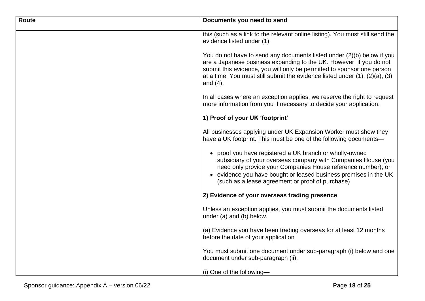| Route | Documents you need to send                                                                                                                                                                                                                                                                                                    |
|-------|-------------------------------------------------------------------------------------------------------------------------------------------------------------------------------------------------------------------------------------------------------------------------------------------------------------------------------|
|       | this (such as a link to the relevant online listing). You must still send the<br>evidence listed under (1).                                                                                                                                                                                                                   |
|       | You do not have to send any documents listed under (2)(b) below if you<br>are a Japanese business expanding to the UK. However, if you do not<br>submit this evidence, you will only be permitted to sponsor one person<br>at a time. You must still submit the evidence listed under $(1)$ , $(2)(a)$ , $(3)$<br>and $(4)$ . |
|       | In all cases where an exception applies, we reserve the right to request<br>more information from you if necessary to decide your application.                                                                                                                                                                                |
|       | 1) Proof of your UK 'footprint'                                                                                                                                                                                                                                                                                               |
|       | All businesses applying under UK Expansion Worker must show they<br>have a UK footprint. This must be one of the following documents-                                                                                                                                                                                         |
|       | • proof you have registered a UK branch or wholly-owned<br>subsidiary of your overseas company with Companies House (you<br>need only provide your Companies House reference number); or<br>• evidence you have bought or leased business premises in the UK<br>(such as a lease agreement or proof of purchase)              |
|       | 2) Evidence of your overseas trading presence                                                                                                                                                                                                                                                                                 |
|       | Unless an exception applies, you must submit the documents listed<br>under (a) and (b) below.                                                                                                                                                                                                                                 |
|       | (a) Evidence you have been trading overseas for at least 12 months<br>before the date of your application                                                                                                                                                                                                                     |
|       | You must submit one document under sub-paragraph (i) below and one<br>document under sub-paragraph (ii).                                                                                                                                                                                                                      |
|       | $(i)$ One of the following-                                                                                                                                                                                                                                                                                                   |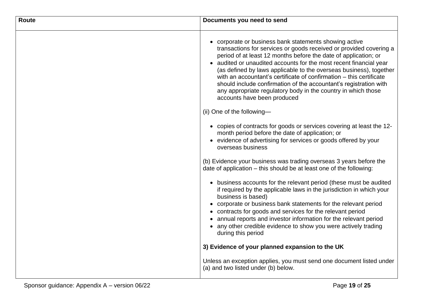| <b>Route</b> | Documents you need to send                                                                                                                                                                                                                                                                                                                                                                                                                                                                                                                                                                                            |
|--------------|-----------------------------------------------------------------------------------------------------------------------------------------------------------------------------------------------------------------------------------------------------------------------------------------------------------------------------------------------------------------------------------------------------------------------------------------------------------------------------------------------------------------------------------------------------------------------------------------------------------------------|
|              | • corporate or business bank statements showing active<br>transactions for services or goods received or provided covering a<br>period of at least 12 months before the date of application; or<br>• audited or unaudited accounts for the most recent financial year<br>(as defined by laws applicable to the overseas business), together<br>with an accountant's certificate of confirmation – this certificate<br>should include confirmation of the accountant's registration with<br>any appropriate regulatory body in the country in which those<br>accounts have been produced<br>(ii) One of the following- |
|              | • copies of contracts for goods or services covering at least the 12-<br>month period before the date of application; or<br>• evidence of advertising for services or goods offered by your<br>overseas business                                                                                                                                                                                                                                                                                                                                                                                                      |
|              | (b) Evidence your business was trading overseas 3 years before the<br>date of application – this should be at least one of the following:<br>• business accounts for the relevant period (these must be audited<br>if required by the applicable laws in the jurisdiction in which your<br>business is based)                                                                                                                                                                                                                                                                                                         |
|              | • corporate or business bank statements for the relevant period<br>• contracts for goods and services for the relevant period<br>• annual reports and investor information for the relevant period<br>• any other credible evidence to show you were actively trading<br>during this period                                                                                                                                                                                                                                                                                                                           |
|              | 3) Evidence of your planned expansion to the UK                                                                                                                                                                                                                                                                                                                                                                                                                                                                                                                                                                       |
|              | Unless an exception applies, you must send one document listed under<br>(a) and two listed under (b) below.                                                                                                                                                                                                                                                                                                                                                                                                                                                                                                           |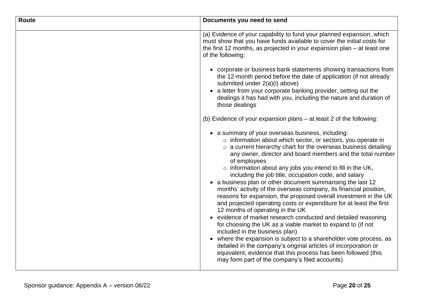| <b>Route</b> | Documents you need to send                                                                                                                                                                                                                                                                                                                                                                                                                                                                                                                                                                                                                                                                                                                                                                                                                                                                                                                                                                                                                                                                                                                              |
|--------------|---------------------------------------------------------------------------------------------------------------------------------------------------------------------------------------------------------------------------------------------------------------------------------------------------------------------------------------------------------------------------------------------------------------------------------------------------------------------------------------------------------------------------------------------------------------------------------------------------------------------------------------------------------------------------------------------------------------------------------------------------------------------------------------------------------------------------------------------------------------------------------------------------------------------------------------------------------------------------------------------------------------------------------------------------------------------------------------------------------------------------------------------------------|
|              | (a) Evidence of your capability to fund your planned expansion, which<br>must show that you have funds available to cover the initial costs for<br>the first 12 months, as projected in your expansion plan $-$ at least one<br>of the following:                                                                                                                                                                                                                                                                                                                                                                                                                                                                                                                                                                                                                                                                                                                                                                                                                                                                                                       |
|              | • corporate or business bank statements showing transactions from<br>the 12-month period before the date of application (if not already<br>submitted under 2(a)(i) above)                                                                                                                                                                                                                                                                                                                                                                                                                                                                                                                                                                                                                                                                                                                                                                                                                                                                                                                                                                               |
|              | • a letter from your corporate banking provider, setting out the<br>dealings it has had with you, including the nature and duration of<br>those dealings                                                                                                                                                                                                                                                                                                                                                                                                                                                                                                                                                                                                                                                                                                                                                                                                                                                                                                                                                                                                |
|              | (b) Evidence of your expansion plans – at least 2 of the following:                                                                                                                                                                                                                                                                                                                                                                                                                                                                                                                                                                                                                                                                                                                                                                                                                                                                                                                                                                                                                                                                                     |
|              | • a summary of your overseas business, including:<br>o information about which sector, or sectors, you operate in<br>$\circ$ a current hierarchy chart for the overseas business detailing<br>any owner, director and board members and the total number<br>of employees<br>$\circ$ information about any jobs you intend to fill in the UK,<br>including the job title, occupation code, and salary<br>• a business plan or other document summarising the last 12<br>months' activity of the overseas company, its financial position,<br>reasons for expansion, the proposed overall investment in the UK<br>and projected operating costs or expenditure for at least the first<br>12 months of operating in the UK<br>• evidence of market research conducted and detailed reasoning<br>for choosing the UK as a viable market to expand to (if not<br>included in the business plan)<br>• where the expansion is subject to a shareholder vote process, as<br>detailed in the company's original articles of incorporation or<br>equivalent, evidence that this process has been followed (this<br>may form part of the company's filed accounts) |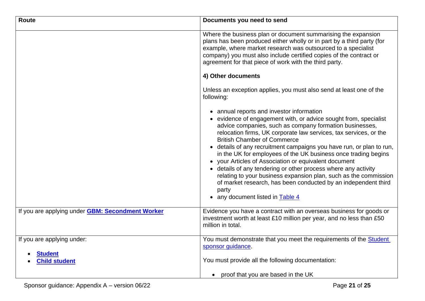| <b>Route</b>                                            | Documents you need to send                                                                                                                                                                                                                                                                                                                                                                                                                                                                                                                                                                                                                                                                                                                  |
|---------------------------------------------------------|---------------------------------------------------------------------------------------------------------------------------------------------------------------------------------------------------------------------------------------------------------------------------------------------------------------------------------------------------------------------------------------------------------------------------------------------------------------------------------------------------------------------------------------------------------------------------------------------------------------------------------------------------------------------------------------------------------------------------------------------|
|                                                         | Where the business plan or document summarising the expansion<br>plans has been produced either wholly or in part by a third party (for<br>example, where market research was outsourced to a specialist<br>company) you must also include certified copies of the contract or<br>agreement for that piece of work with the third party.                                                                                                                                                                                                                                                                                                                                                                                                    |
|                                                         | 4) Other documents                                                                                                                                                                                                                                                                                                                                                                                                                                                                                                                                                                                                                                                                                                                          |
|                                                         | Unless an exception applies, you must also send at least one of the<br>following:                                                                                                                                                                                                                                                                                                                                                                                                                                                                                                                                                                                                                                                           |
|                                                         | • annual reports and investor information<br>• evidence of engagement with, or advice sought from, specialist<br>advice companies, such as company formation businesses,<br>relocation firms, UK corporate law services, tax services, or the<br><b>British Chamber of Commerce</b><br>• details of any recruitment campaigns you have run, or plan to run,<br>in the UK for employees of the UK business once trading begins<br>• your Articles of Association or equivalent document<br>• details of any tendering or other process where any activity<br>relating to your business expansion plan, such as the commission<br>of market research, has been conducted by an independent third<br>party<br>• any document listed in Table 4 |
| If you are applying under <b>GBM: Secondment Worker</b> | Evidence you have a contract with an overseas business for goods or<br>investment worth at least £10 million per year, and no less than £50<br>million in total.                                                                                                                                                                                                                                                                                                                                                                                                                                                                                                                                                                            |
| If you are applying under:                              | You must demonstrate that you meet the requirements of the <b>Student</b><br>sponsor guidance.                                                                                                                                                                                                                                                                                                                                                                                                                                                                                                                                                                                                                                              |
| <b>Student</b><br><b>Child student</b>                  | You must provide all the following documentation:                                                                                                                                                                                                                                                                                                                                                                                                                                                                                                                                                                                                                                                                                           |
|                                                         | • proof that you are based in the UK                                                                                                                                                                                                                                                                                                                                                                                                                                                                                                                                                                                                                                                                                                        |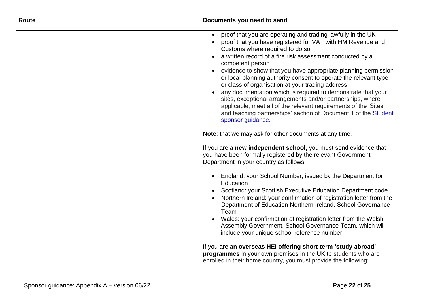| <b>Route</b> | Documents you need to send                                                                                                                                                                                                                                                                                                                                                                                                                                                                                                                                                                                                                                                                                                       |
|--------------|----------------------------------------------------------------------------------------------------------------------------------------------------------------------------------------------------------------------------------------------------------------------------------------------------------------------------------------------------------------------------------------------------------------------------------------------------------------------------------------------------------------------------------------------------------------------------------------------------------------------------------------------------------------------------------------------------------------------------------|
|              | proof that you are operating and trading lawfully in the UK<br>proof that you have registered for VAT with HM Revenue and<br>Customs where required to do so<br>a written record of a fire risk assessment conducted by a<br>competent person<br>evidence to show that you have appropriate planning permission<br>or local planning authority consent to operate the relevant type<br>or class of organisation at your trading address<br>any documentation which is required to demonstrate that your<br>sites, exceptional arrangements and/or partnerships, where<br>applicable, meet all of the relevant requirements of the 'Sites<br>and teaching partnerships' section of Document 1 of the Student<br>sponsor guidance. |
|              | Note: that we may ask for other documents at any time.                                                                                                                                                                                                                                                                                                                                                                                                                                                                                                                                                                                                                                                                           |
|              | If you are a new independent school, you must send evidence that<br>you have been formally registered by the relevant Government<br>Department in your country as follows:                                                                                                                                                                                                                                                                                                                                                                                                                                                                                                                                                       |
|              | England: your School Number, issued by the Department for<br>Education<br>Scotland: your Scottish Executive Education Department code<br>Northern Ireland: your confirmation of registration letter from the<br>Department of Education Northern Ireland, School Governance<br>Team<br>Wales: your confirmation of registration letter from the Welsh<br>Assembly Government, School Governance Team, which will<br>include your unique school reference number                                                                                                                                                                                                                                                                  |
|              | If you are an overseas HEI offering short-term 'study abroad'<br>programmes in your own premises in the UK to students who are<br>enrolled in their home country, you must provide the following:                                                                                                                                                                                                                                                                                                                                                                                                                                                                                                                                |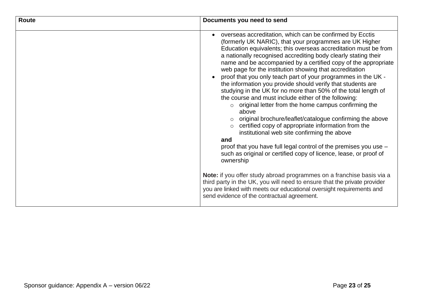| <b>Route</b> | Documents you need to send                                                                                                                                                                                                                                                                                                                                                                                                                                                                                                                                                                                                                                                                                                                                                                                                                                                                                                                                                                                                                                                                                                                                                                                                                                                                                                               |
|--------------|------------------------------------------------------------------------------------------------------------------------------------------------------------------------------------------------------------------------------------------------------------------------------------------------------------------------------------------------------------------------------------------------------------------------------------------------------------------------------------------------------------------------------------------------------------------------------------------------------------------------------------------------------------------------------------------------------------------------------------------------------------------------------------------------------------------------------------------------------------------------------------------------------------------------------------------------------------------------------------------------------------------------------------------------------------------------------------------------------------------------------------------------------------------------------------------------------------------------------------------------------------------------------------------------------------------------------------------|
|              | overseas accreditation, which can be confirmed by Ecctis<br>$\bullet$<br>(formerly UK NARIC), that your programmes are UK Higher<br>Education equivalents; this overseas accreditation must be from<br>a nationally recognised accrediting body clearly stating their<br>name and be accompanied by a certified copy of the appropriate<br>web page for the institution showing that accreditation<br>proof that you only teach part of your programmes in the UK -<br>the information you provide should verify that students are<br>studying in the UK for no more than 50% of the total length of<br>the course and must include either of the following:<br>o original letter from the home campus confirming the<br>above<br>original brochure/leaflet/catalogue confirming the above<br>certified copy of appropriate information from the<br>institutional web site confirming the above<br>and<br>proof that you have full legal control of the premises you use -<br>such as original or certified copy of licence, lease, or proof of<br>ownership<br>Note: if you offer study abroad programmes on a franchise basis via a<br>third party in the UK, you will need to ensure that the private provider<br>you are linked with meets our educational oversight requirements and<br>send evidence of the contractual agreement. |
|              |                                                                                                                                                                                                                                                                                                                                                                                                                                                                                                                                                                                                                                                                                                                                                                                                                                                                                                                                                                                                                                                                                                                                                                                                                                                                                                                                          |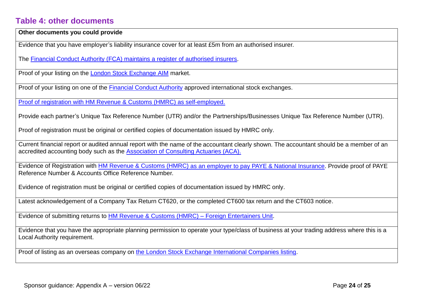#### <span id="page-23-0"></span>**Table 4: other documents**

**Other documents you could provide**

Evidence that you have employer's liability insurance cover for at least £5m from an authorised insurer.

The [Financial Conduct Authority \(FCA\) maintains a register of](https://register.fca.org.uk/) authorised insurers.

Proof of your listing on the [London Stock Exchange AIM](http://www.londonstockexchange.com/exchange/companies-and-advisors/aim/for-companies/information-search/aim-company-search.html) market.

Proof of your listing on one of the [Financial Conduct](https://register.fca.org.uk/) Authority approved international stock exchanges.

Proof of registration with HM Revenue & [Customs \(HMRC\) as self-employed.](https://www.gov.uk/keeping-your-pay-tax-records/overview)

Provide each partner's Unique Tax Reference Number (UTR) and/or the Partnerships/Businesses Unique Tax Reference Number (UTR).

Proof of registration must be original or certified copies of documentation issued by HMRC only.

Current financial report or audited annual report with the name of the accountant clearly shown. The accountant should be a member of an accredited accounting body such as the [Association of Consulting Actuaries \(ACA\).](http://www.aca.org.uk/)

Evidence of Registration with HM Revenue & [Customs \(HMRC\) as an employer to](https://www.gov.uk/paye-for-employers/paye-and-payroll) pay PAYE & Natio[nal Insurance.](https://www.gov.uk/paye-for-employers/paye-and-payroll) Provide proof of PAYE Reference Number & Accounts Office Reference Number.

Evidence of registration must be original or certified copies of documentation issued by HMRC only.

Latest acknowledgement of a Company Tax Return CT620, or the completed CT600 tax return and the CT603 notice.

Evidence of submitting returns to HM Revenue & [Customs \(HMRC\) –](https://www.gov.uk/guidance/pay-tax-on-payments-to-foreign-performers) [Foreign Entertainers Unit.](https://www.gov.uk/guidance/pay-tax-on-payments-to-foreign-performers)

Evidence that you have the appropriate planning permission to operate your type/class of business at your trading address where this is a Local Authority requirement.

Proof of listing as an overseas company on [the London Stock Exchange International Companies listing.](http://www.londonstockexchange.com/exchange/prices-and-markets/stocks/international-companies/international-regions.html)